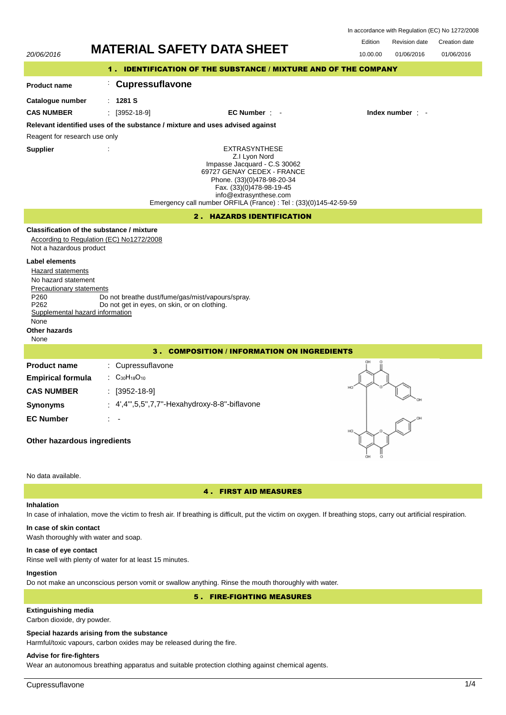| In accordance with Regulation (EC) No 1272/2008 |  |  |  |
|-------------------------------------------------|--|--|--|
|-------------------------------------------------|--|--|--|



# **In case of eye contact**

Rinse well with plenty of water for at least 15 minutes.

## **Ingestion**

Do not make an unconscious person vomit or swallow anything. Rinse the mouth thoroughly with water.

5 . FIRE-FIGHTING MEASURES

# **Extinguishing media**

Carbon dioxide, dry powder.

### **Special hazards arising from the substance**

Harmful/toxic vapours, carbon oxides may be released during the fire.

# **Advise for fire-fighters**

Wear an autonomous breathing apparatus and suitable protection clothing against chemical agents.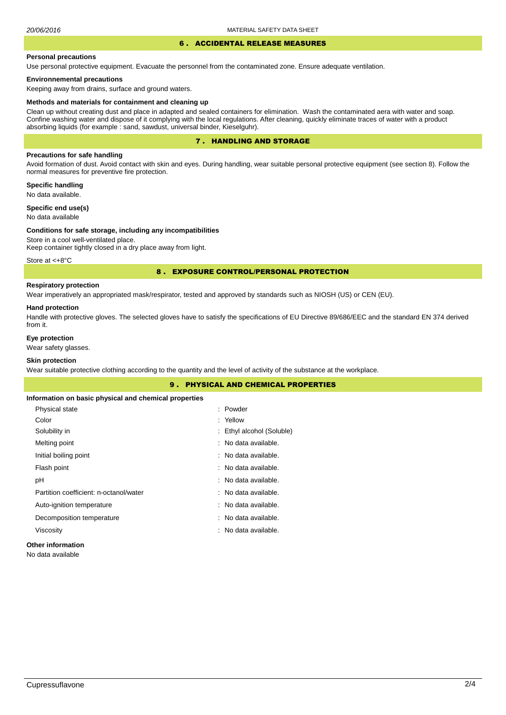#### 6 . ACCIDENTAL RELEASE MEASURES

#### **Personal precautions**

Use personal protective equipment. Evacuate the personnel from the contaminated zone. Ensure adequate ventilation.

## **Environnemental precautions**

Keeping away from drains, surface and ground waters.

#### **Methods and materials for containment and cleaning up**

Clean up without creating dust and place in adapted and sealed containers for elimination. Wash the contaminated aera with water and soap. Confine washing water and dispose of it complying with the local regulations. After cleaning, quickly eliminate traces of water with a product absorbing liquids (for example : sand, sawdust, universal binder, Kieselguhr).

## 7 . HANDLING AND STORAGE

## **Precautions for safe handling**

Avoid formation of dust. Avoid contact with skin and eyes. During handling, wear suitable personal protective equipment (see section 8). Follow the normal measures for preventive fire protection.

**Specific handling** No data available.

**Specific end use(s)**

# No data available

#### **Conditions for safe storage, including any incompatibilities**

Store in a cool well-ventilated place. Keep container tightly closed in a dry place away from light.

Store at <+8°C

## 8 . EXPOSURE CONTROL/PERSONAL PROTECTION

# **Respiratory protection**

Wear imperatively an appropriated mask/respirator, tested and approved by standards such as NIOSH (US) or CEN (EU).

#### **Hand protection**

Handle with protective gloves. The selected gloves have to satisfy the specifications of EU Directive 89/686/EEC and the standard EN 374 derived from it.

## **Eye protection**

Wear safety glasses.

## **Skin protection**

Wear suitable protective clothing according to the quantity and the level of activity of the substance at the workplace.

| <b>9. PHYSICAL AND CHEMICAL PROPERTIES</b>            |                           |  |  |
|-------------------------------------------------------|---------------------------|--|--|
| Information on basic physical and chemical properties |                           |  |  |
| Physical state                                        | : Powder                  |  |  |
| Color                                                 | : Yellow                  |  |  |
| Solubility in                                         | : Ethyl alcohol (Soluble) |  |  |
| Melting point                                         | : No data available.      |  |  |
| Initial boiling point                                 | : No data available.      |  |  |
| Flash point                                           | : No data available.      |  |  |
| рH                                                    | : No data available.      |  |  |
| Partition coefficient: n-octanol/water                | : No data available.      |  |  |
| Auto-ignition temperature                             | : No data available.      |  |  |
| Decomposition temperature                             | : No data available.      |  |  |
| Viscosity                                             | : No data available.      |  |  |
| Arthur and the function of the con-                   |                           |  |  |

## **Other information**

No data available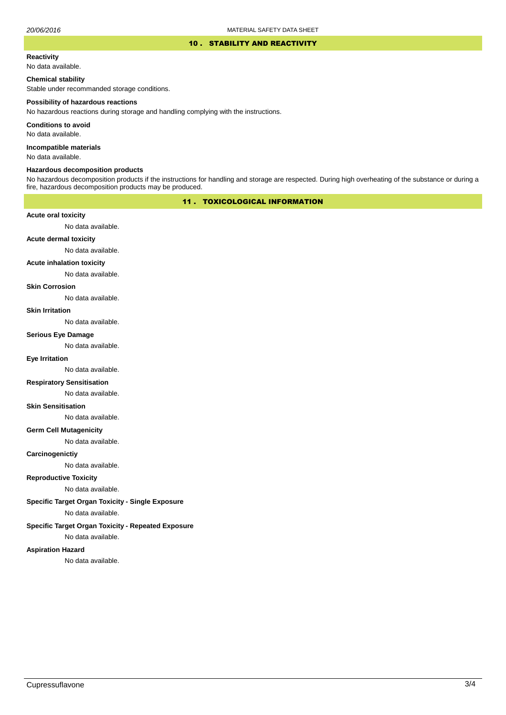#### 10 . STABILITY AND REACTIVITY

#### **Reactivity**

No data available.

## **Chemical stability**

Stable under recommanded storage conditions.

#### **Possibility of hazardous reactions**

No hazardous reactions during storage and handling complying with the instructions.

**Conditions to avoid**

No data available.

**Incompatible materials**

No data available.

## **Hazardous decomposition products**

No hazardous decomposition products if the instructions for handling and storage are respected. During high overheating of the substance or during a fire, hazardous decomposition products may be produced.

# 11 . TOXICOLOGICAL INFORMATION

## **Acute oral toxicity**

No data available.

# **Acute dermal toxicity**

No data available.

## **Acute inhalation toxicity**

No data available.

## **Skin Corrosion**

No data available.

#### **Skin Irritation**

No data available.

# **Serious Eye Damage**

No data available.

## **Eye Irritation**

No data available.

## **Respiratory Sensitisation**

No data available.

#### **Skin Sensitisation**

No data available.

## **Germ Cell Mutagenicity**

No data available.

## **Carcinogenictiy**

No data available.

# **Reproductive Toxicity**

No data available.

# **Specific Target Organ Toxicity - Single Exposure**

No data available.

# **Specific Target Organ Toxicity - Repeated Exposure**

No data available.

#### **Aspiration Hazard**

No data available.